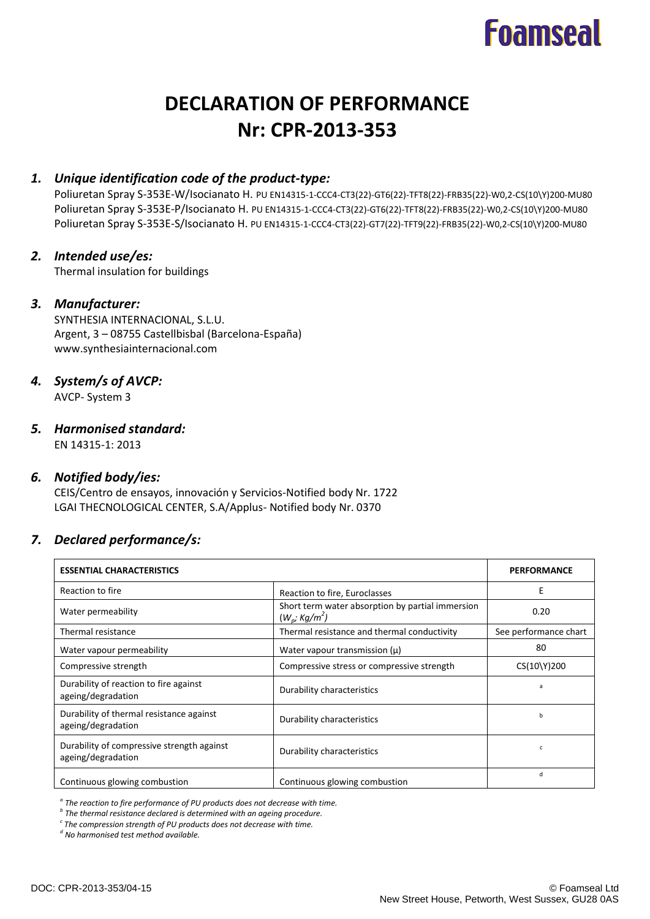# **Foamseal**

# **DECLARATION OF PERFORMANCE Nr: CPR-2013-353**

# *1. Unique identification code of the product-type:*

Poliuretan Spray S-353E-W/Isocianato H. PU EN14315-1-CCC4-CT3(22)-GT6(22)-TFT8(22)-FRB35(22)-W0,2-CS(10\Y)200-MU80 Poliuretan Spray S-353E-P/Isocianato H. PU EN14315-1-CCC4-CT3(22)-GT6(22)-TFT8(22)-FRB35(22)-W0,2-CS(10\Y)200-MU80 Poliuretan Spray S-353E-S/Isocianato H. PU EN14315-1-CCC4-CT3(22)-GT7(22)-TFT9(22)-FRB35(22)-W0,2-CS(10\Y)200-MU80

# *2. Intended use/es:*

Thermal insulation for buildings

#### *3. Manufacturer:*

SYNTHESIA INTERNACIONAL, S.L.U. Argent, 3 – 08755 Castellbisbal (Barcelona-España) www.synthesiainternacional.com

#### *4. System/s of AVCP:*

AVCP- System 3

# *5. Harmonised standard:*

EN 14315-1: 2013

#### *6. Notified body/ies:*

CEIS/Centro de ensayos, innovación y Servicios-Notified body Nr. 1722 LGAI THECNOLOGICAL CENTER, S.A/Applus- Notified body Nr. 0370

#### *7. Declared performance/s:*

| <b>ESSENTIAL CHARACTERISTICS</b>                                 |                                                                          | <b>PERFORMANCE</b>    |
|------------------------------------------------------------------|--------------------------------------------------------------------------|-----------------------|
| Reaction to fire                                                 | Reaction to fire, Euroclasses                                            | Е                     |
| Water permeability                                               | Short term water absorption by partial immersion<br>$(W_{p} ; Kg/m^{2})$ | 0.20                  |
| Thermal resistance                                               | Thermal resistance and thermal conductivity                              | See performance chart |
| Water vapour permeability                                        | Water vapour transmission $(\mu)$                                        | 80                    |
| Compressive strength                                             | Compressive stress or compressive strength                               | CS(10\Y)200           |
| Durability of reaction to fire against<br>ageing/degradation     | Durability characteristics                                               | $\overline{a}$        |
| Durability of thermal resistance against<br>ageing/degradation   | Durability characteristics                                               | b                     |
| Durability of compressive strength against<br>ageing/degradation | Durability characteristics                                               | C                     |
| Continuous glowing combustion                                    | Continuous glowing combustion                                            | d                     |

*a The reaction to fire performance of PU products does not decrease with time.*

*b The thermal resistance declared is determined with an ageing procedure.*

*c The compression strength of PU products does not decrease with time.*

*d No harmonised test method available.*